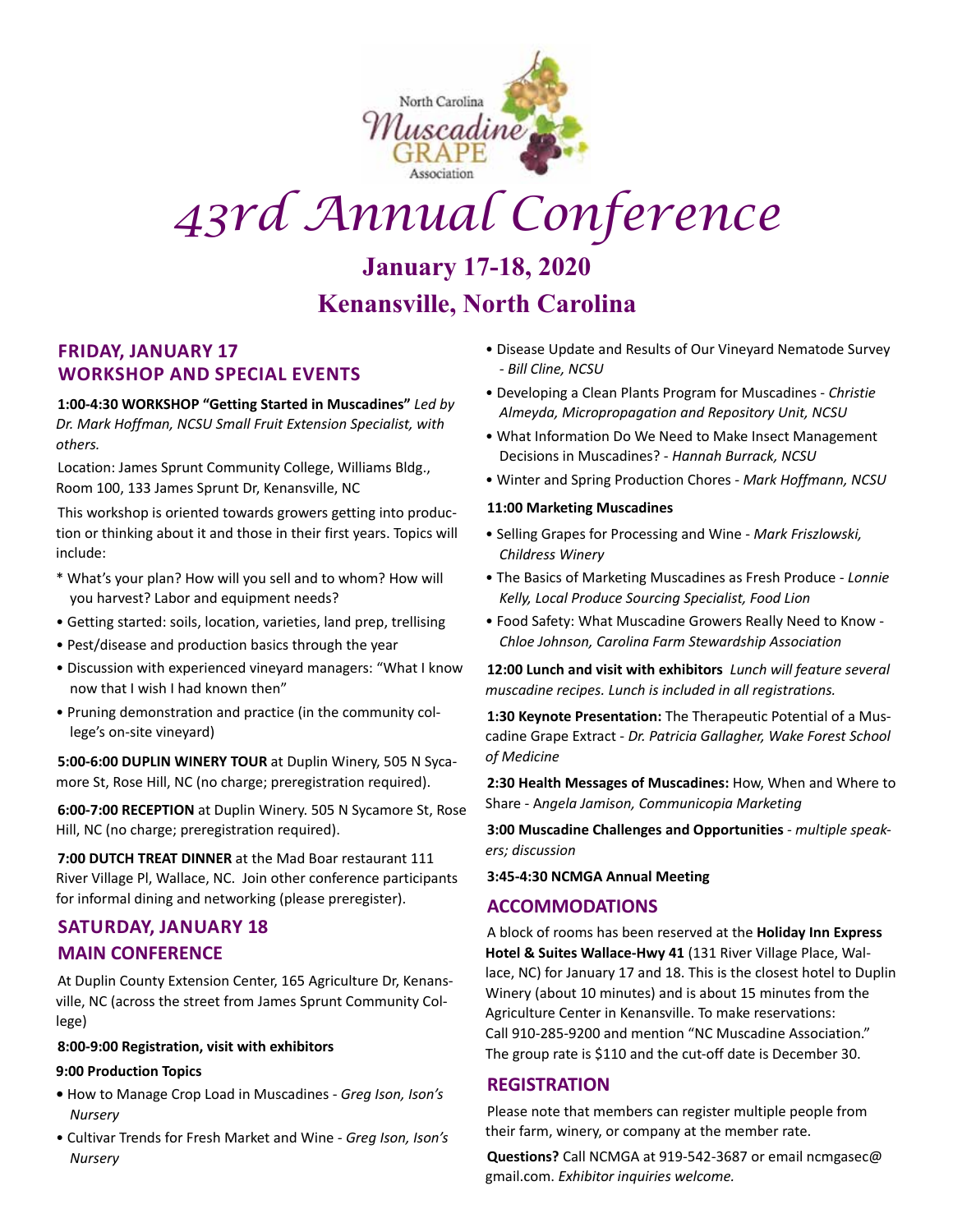

# *43rd Annual Conference*

### **January 17-18, 2020 Kenansville, North Carolina**

#### **Friday, January 17 Workshop and Special Events**

**1:00-4:30 WORKSHOP "Getting Started in Muscadines"** *Led by Dr. Mark Hoffman, NCSU Small Fruit Extension Specialist, with others.*

Location: James Sprunt Community College, Williams Bldg., Room 100, 133 James Sprunt Dr, Kenansville, NC

This workshop is oriented towards growers getting into production or thinking about it and those in their first years. Topics will include:

- \* What's your plan? How will you sell and to whom? How will you harvest? Labor and equipment needs?
- Getting started: soils, location, varieties, land prep, trellising
- Pest/disease and production basics through the year
- Discussion with experienced vineyard managers: "What I know now that I wish I had known then"
- Pruning demonstration and practice (in the community college's on-site vineyard)

**5:00-6:00 DUPLIN WINERY TOUR** at Duplin Winery, 505 N Sycamore St, Rose Hill, NC (no charge; preregistration required).

**6:00-7:00 RECEPTION** at Duplin Winery. 505 N Sycamore St, Rose Hill, NC (no charge; preregistration required).

**7:00 DUTCH TREAT DINNER** at the Mad Boar restaurant 111 River Village Pl, Wallace, NC. Join other conference participants for informal dining and networking (please preregister).

#### **Saturday, January 18 MAIN CONFERENCE**

At Duplin County Extension Center, 165 Agriculture Dr, Kenansville, NC (across the street from James Sprunt Community College)

#### **8:00-9:00 Registration, visit with exhibitors**

#### **9:00 Production Topics**

- How to Manage Crop Load in Muscadines - *Greg Ison, Ison's Nursery*
- Cultivar Trends for Fresh Market and Wine *Greg Ison, Ison's Nursery*
- Disease Update and Results of Our Vineyard Nematode Survey *- Bill Cline, NCSU*
- Developing a Clean Plants Program for Muscadines *Christie Almeyda, Micropropagation and Repository Unit, NCSU*
- What Information Do We Need to Make Insect Management Decisions in Muscadines? - *Hannah Burrack, NCSU*
- Winter and Spring Production Chores  *Mark Hoffmann, NCSU*

#### **11:00 Marketing Muscadines**

- Selling Grapes for Processing and Wine *Mark Friszlowski, Childress Winery*
- The Basics of Marketing Muscadines as Fresh Produce *Lonnie Kelly, Local Produce Sourcing Specialist, Food Lion*
- Food Safety: What Muscadine Growers Really Need to Know *Chloe Johnson, Carolina Farm Stewardship Association*

**12:00 Lunch and visit with exhibitors** *Lunch will feature several muscadine recipes. Lunch is included in all registrations.* 

**1:30 Keynote Presentation:** The Therapeutic Potential of a Muscadine Grape Extract - *Dr. Patricia Gallagher, Wake Forest School of Medicine*

**2:30 Health Messages of Muscadines:** How, When and Where to Share - A*ngela Jamison, Communicopia Marketing* 

**3:00 Muscadine Challenges and Opportunities** *- multiple speakers; discussion*

**3:45-4:30 NCMGA Annual Meeting** 

#### **ACCOMMODATIONS**

A block of rooms has been reserved at the **Holiday Inn Express Hotel & Suites Wallace-Hwy 41** (131 River Village Place, Wallace, NC) for January 17 and 18. This is the closest hotel to Duplin Winery (about 10 minutes) and is about 15 minutes from the Agriculture Center in Kenansville. To make reservations: Call 910-285-9200 and mention "NC Muscadine Association." The group rate is \$110 and the cut-off date is December 30.

#### **REGISTRATION**

Please note that members can register multiple people from their farm, winery, or company at the member rate.

**Questions?** Call NCMGA at 919-542-3687 or email ncmgasec@ gmail.com. *Exhibitor inquiries welcome.*